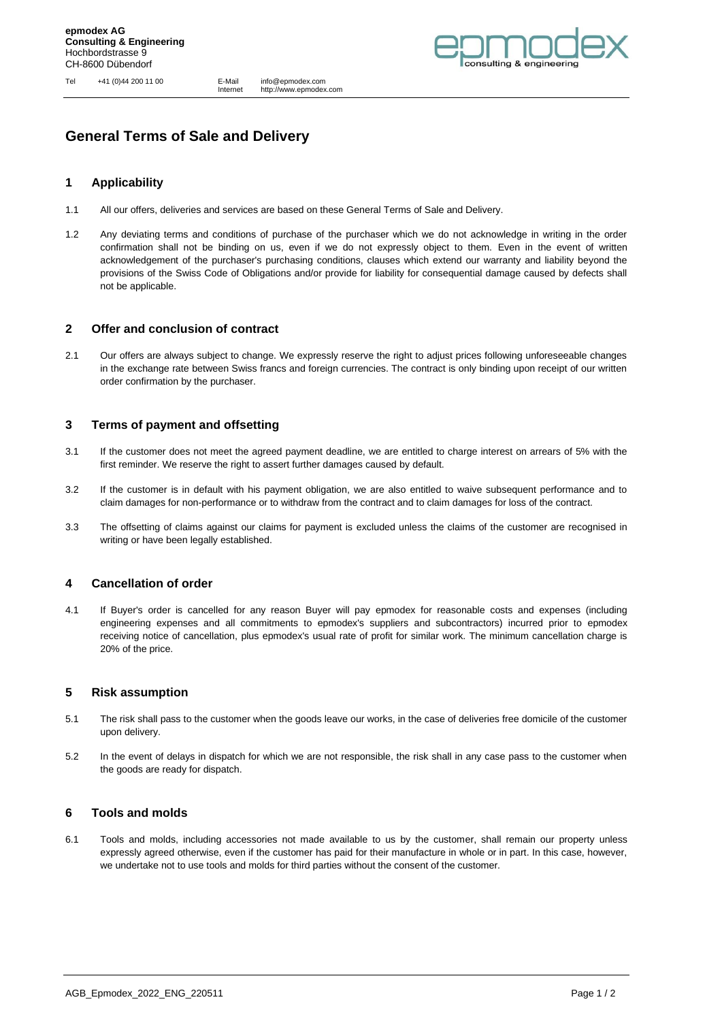Tel +41 (0)44 200 11 00 E-Mail info@epmodex.com

Internet http://www.epmodex.com



# **General Terms of Sale and Delivery**

## **1 Applicability**

- 1.1 All our offers, deliveries and services are based on these General Terms of Sale and Delivery.
- 1.2 Any deviating terms and conditions of purchase of the purchaser which we do not acknowledge in writing in the order confirmation shall not be binding on us, even if we do not expressly object to them. Even in the event of written acknowledgement of the purchaser's purchasing conditions, clauses which extend our warranty and liability beyond the provisions of the Swiss Code of Obligations and/or provide for liability for consequential damage caused by defects shall not be applicable.

#### **2 Offer and conclusion of contract**

2.1 Our offers are always subject to change. We expressly reserve the right to adjust prices following unforeseeable changes in the exchange rate between Swiss francs and foreign currencies. The contract is only binding upon receipt of our written order confirmation by the purchaser.

# **3 Terms of payment and offsetting**

- 3.1 If the customer does not meet the agreed payment deadline, we are entitled to charge interest on arrears of 5% with the first reminder. We reserve the right to assert further damages caused by default.
- 3.2 If the customer is in default with his payment obligation, we are also entitled to waive subsequent performance and to claim damages for non-performance or to withdraw from the contract and to claim damages for loss of the contract.
- 3.3 The offsetting of claims against our claims for payment is excluded unless the claims of the customer are recognised in writing or have been legally established.

# **4 Cancellation of order**

4.1 If Buyer's order is cancelled for any reason Buyer will pay epmodex for reasonable costs and expenses (including engineering expenses and all commitments to epmodex's suppliers and subcontractors) incurred prior to epmodex receiving notice of cancellation, plus epmodex's usual rate of profit for similar work. The minimum cancellation charge is 20% of the price.

#### **5 Risk assumption**

- 5.1 The risk shall pass to the customer when the goods leave our works, in the case of deliveries free domicile of the customer upon delivery.
- 5.2 In the event of delays in dispatch for which we are not responsible, the risk shall in any case pass to the customer when the goods are ready for dispatch.

#### **6 Tools and molds**

6.1 Tools and molds, including accessories not made available to us by the customer, shall remain our property unless expressly agreed otherwise, even if the customer has paid for their manufacture in whole or in part. In this case, however, we undertake not to use tools and molds for third parties without the consent of the customer.